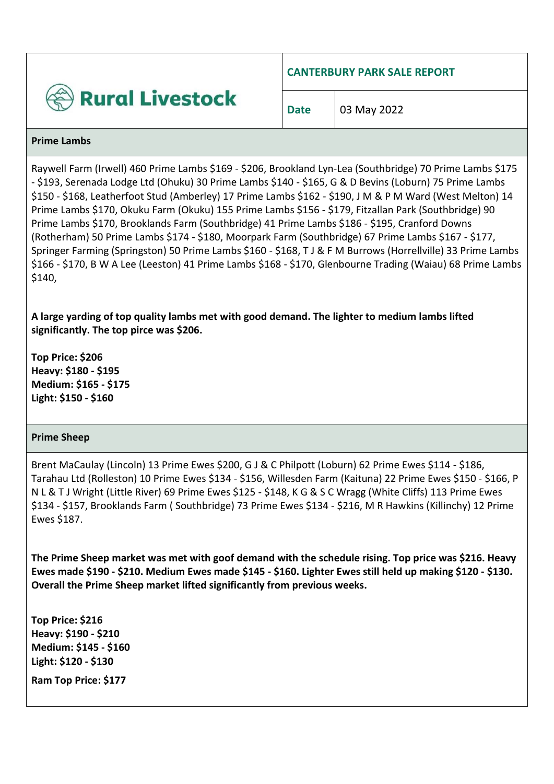

**CANTERBURY PARK SALE REPORT**

**Date** | 03 May 2022

#### **Prime Lambs**

Raywell Farm (Irwell) 460 Prime Lambs \$169 - \$206, Brookland Lyn-Lea (Southbridge) 70 Prime Lambs \$175 - \$193, Serenada Lodge Ltd (Ohuku) 30 Prime Lambs \$140 - \$165, G & D Bevins (Loburn) 75 Prime Lambs \$150 - \$168, Leatherfoot Stud (Amberley) 17 Prime Lambs \$162 - \$190, J M & P M Ward (West Melton) 14 Prime Lambs \$170, Okuku Farm (Okuku) 155 Prime Lambs \$156 - \$179, Fitzallan Park (Southbridge) 90 Prime Lambs \$170, Brooklands Farm (Southbridge) 41 Prime Lambs \$186 - \$195, Cranford Downs (Rotherham) 50 Prime Lambs \$174 - \$180, Moorpark Farm (Southbridge) 67 Prime Lambs \$167 - \$177, Springer Farming (Springston) 50 Prime Lambs \$160 - \$168, T J & F M Burrows (Horrellville) 33 Prime Lambs \$166 - \$170, B W A Lee (Leeston) 41 Prime Lambs \$168 - \$170, Glenbourne Trading (Waiau) 68 Prime Lambs \$140,

**A large yarding of top quality lambs met with good demand. The lighter to medium lambs lifted significantly. The top pirce was \$206.**

**Top Price: \$206 Heavy: \$180 - \$195 Medium: \$165 - \$175 Light: \$150 - \$160**

## **Prime Sheep**

Brent MaCaulay (Lincoln) 13 Prime Ewes \$200, G J & C Philpott (Loburn) 62 Prime Ewes \$114 - \$186, Tarahau Ltd (Rolleston) 10 Prime Ewes \$134 - \$156, Willesden Farm (Kaituna) 22 Prime Ewes \$150 - \$166, P N L & T J Wright (Little River) 69 Prime Ewes \$125 - \$148, K G & S C Wragg (White Cliffs) 113 Prime Ewes \$134 - \$157, Brooklands Farm ( Southbridge) 73 Prime Ewes \$134 - \$216, M R Hawkins (Killinchy) 12 Prime Ewes \$187.

**The Prime Sheep market was met with goof demand with the schedule rising. Top price was \$216. Heavy Ewes made \$190 - \$210. Medium Ewes made \$145 - \$160. Lighter Ewes still held up making \$120 - \$130. Overall the Prime Sheep market lifted significantly from previous weeks.** 

**Top Price: \$216 Heavy: \$190 - \$210 Medium: \$145 - \$160 Light: \$120 - \$130**

**Ram Top Price: \$177**